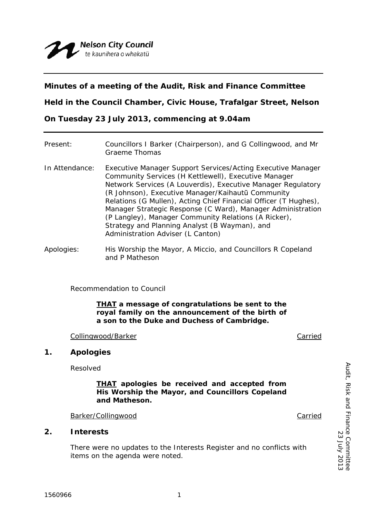#### **Minutes of a meeting of the Audit, Risk and Finance Committee**

**Held in the Council Chamber, Civic House, Trafalgar Street, Nelson** 

**On Tuesday 23 July 2013, commencing at 9.04am** 

| Present:       | Councillors I Barker (Chairperson), and G Collingwood, and Mr<br>Graeme Thomas                                                                                                                                                                                                                                                                                                                                                                                                                                            |
|----------------|---------------------------------------------------------------------------------------------------------------------------------------------------------------------------------------------------------------------------------------------------------------------------------------------------------------------------------------------------------------------------------------------------------------------------------------------------------------------------------------------------------------------------|
| In Attendance: | Executive Manager Support Services/Acting Executive Manager<br>Community Services (H Kettlewell), Executive Manager<br>Network Services (A Louverdis), Executive Manager Regulatory<br>(R Johnson), Executive Manager/Kaihautū Community<br>Relations (G Mullen), Acting Chief Financial Officer (T Hughes),<br>Manager Strategic Response (C Ward), Manager Administration<br>(P Langley), Manager Community Relations (A Ricker),<br>Strategy and Planning Analyst (B Wayman), and<br>Administration Adviser (L Canton) |
| Apologies:     | His Worship the Mayor, A Miccio, and Councillors R Copeland<br>and P Matheson                                                                                                                                                                                                                                                                                                                                                                                                                                             |

Recommendation to Council

#### *THAT a message of congratulations be sent to the royal family on the announcement of the birth of a son to the Duke and Duchess of Cambridge.*

Collingwood/Barker Collingwood/Barker Carried

#### **1. Apologies**

Resolved

*THAT apologies be received and accepted from His Worship the Mayor, and Councillors Copeland and Matheson.* 

Barker/Collingwood **Carried** Carried

#### **2. Interests**

There were no updates to the Interests Register and no conflicts with items on the agenda were noted.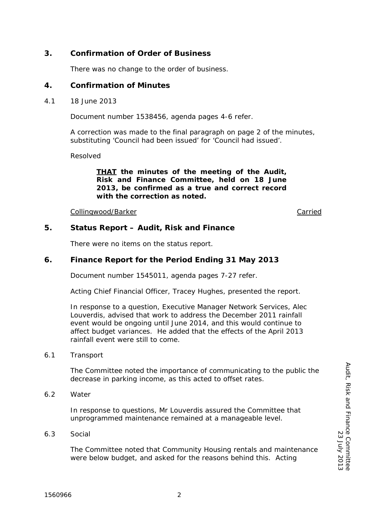#### **3. Confirmation of Order of Business**

There was no change to the order of business.

#### **4. Confirmation of Minutes**

4.1 18 June 2013

Document number 1538456, agenda pages 4-6 refer.

A correction was made to the final paragraph on page 2 of the minutes, substituting 'Council had been issued' for 'Council had issued'.

Resolved

*THAT the minutes of the meeting of the Audit, Risk and Finance Committee, held on 18 June 2013, be confirmed as a true and correct record with the correction as noted.* 

Collingwood/Barker Carried

#### **5. Status Report – Audit, Risk and Finance**

There were no items on the status report.

#### **6. Finance Report for the Period Ending 31 May 2013**

Document number 1545011, agenda pages 7-27 refer.

Acting Chief Financial Officer, Tracey Hughes, presented the report.

In response to a question, Executive Manager Network Services, Alec Louverdis, advised that work to address the December 2011 rainfall event would be ongoing until June 2014, and this would continue to affect budget variances. He added that the effects of the April 2013 rainfall event were still to come.

6.1 Transport

The Committee noted the importance of communicating to the public the decrease in parking income, as this acted to offset rates.

6.2 Water

In response to questions, Mr Louverdis assured the Committee that unprogrammed maintenance remained at a manageable level.

6.3 Social

The Committee noted that Community Housing rentals and maintenance were below budget, and asked for the reasons behind this. Acting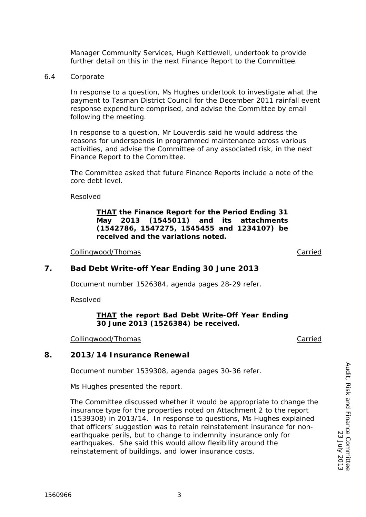Manager Community Services, Hugh Kettlewell, undertook to provide further detail on this in the next Finance Report to the Committee.

#### 6.4 Corporate

In response to a question, Ms Hughes undertook to investigate what the payment to Tasman District Council for the December 2011 rainfall event response expenditure comprised, and advise the Committee by email following the meeting.

In response to a question, Mr Louverdis said he would address the reasons for underspends in programmed maintenance across various activities, and advise the Committee of any associated risk, in the next Finance Report to the Committee.

The Committee asked that future Finance Reports include a note of the core debt level.

Resolved

*THAT the Finance Report for the Period Ending 31 May 2013 (1545011) and its attachments (1542786, 1547275, 1545455 and 1234107) be received and the variations noted.* 

Collingwood/Thomas Carried

#### **7. Bad Debt Write-off Year Ending 30 June 2013**

Document number 1526384, agenda pages 28-29 refer.

Resolved

#### *THAT the report Bad Debt Write-Off Year Ending 30 June 2013 (1526384) be received.*

Collingwood/Thomas Carried

#### **8. 2013/14 Insurance Renewal**

Document number 1539308, agenda pages 30-36 refer.

Ms Hughes presented the report.

The Committee discussed whether it would be appropriate to change the insurance type for the properties noted on Attachment 2 to the report (1539308) in 2013/14. In response to questions, Ms Hughes explained that officers' suggestion was to retain reinstatement insurance for nonearthquake perils, but to change to indemnity insurance only for earthquakes. She said this would allow flexibility around the reinstatement of buildings, and lower insurance costs.